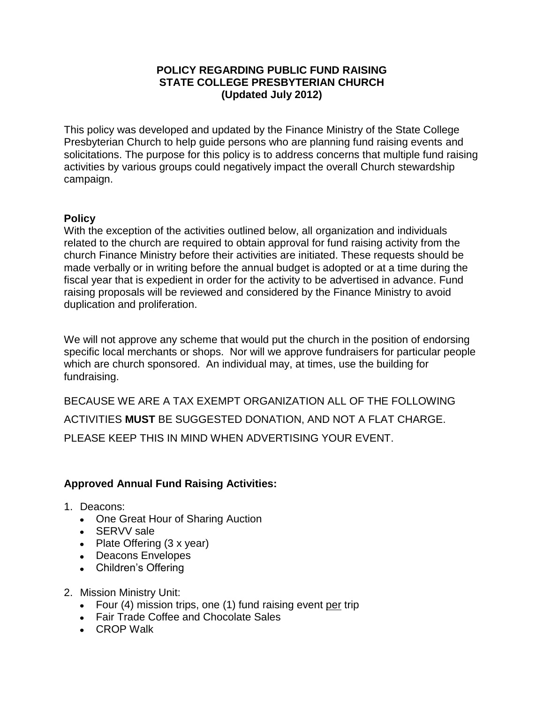## **POLICY REGARDING PUBLIC FUND RAISING STATE COLLEGE PRESBYTERIAN CHURCH (Updated July 2012)**

This policy was developed and updated by the Finance Ministry of the State College Presbyterian Church to help guide persons who are planning fund raising events and solicitations. The purpose for this policy is to address concerns that multiple fund raising activities by various groups could negatively impact the overall Church stewardship campaign.

## **Policy**

With the exception of the activities outlined below, all organization and individuals related to the church are required to obtain approval for fund raising activity from the church Finance Ministry before their activities are initiated. These requests should be made verbally or in writing before the annual budget is adopted or at a time during the fiscal year that is expedient in order for the activity to be advertised in advance. Fund raising proposals will be reviewed and considered by the Finance Ministry to avoid duplication and proliferation.

We will not approve any scheme that would put the church in the position of endorsing specific local merchants or shops. Nor will we approve fundraisers for particular people which are church sponsored. An individual may, at times, use the building for fundraising.

BECAUSE WE ARE A TAX EXEMPT ORGANIZATION ALL OF THE FOLLOWING ACTIVITIES **MUST** BE SUGGESTED DONATION, AND NOT A FLAT CHARGE. PLEASE KEEP THIS IN MIND WHEN ADVERTISING YOUR EVENT.

## **Approved Annual Fund Raising Activities:**

- 1. Deacons:
	- One Great Hour of Sharing Auction
	- SERVV sale
	- Plate Offering (3 x year)
	- Deacons Envelopes
	- Children's Offering
- 2. Mission Ministry Unit:
	- Four (4) mission trips, one (1) fund raising event per trip
	- Fair Trade Coffee and Chocolate Sales
	- CROP Walk